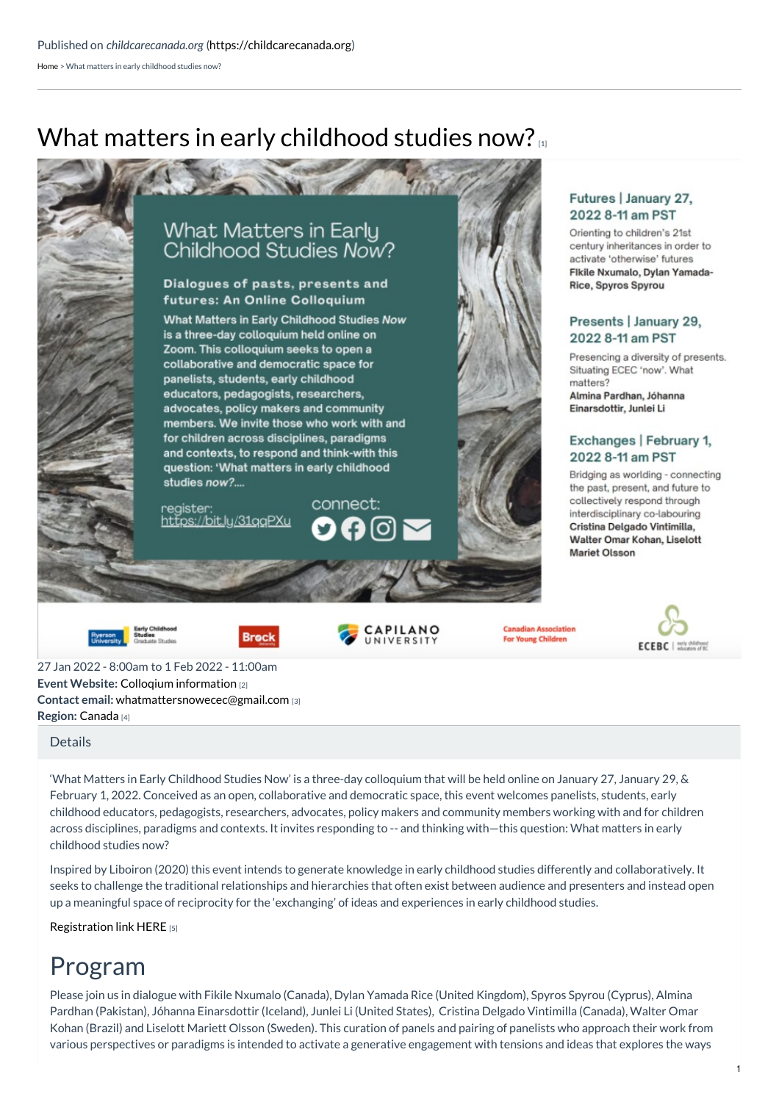[Home](https://childcarecanada.org/) > What matters in early childhood studies now?

# What matters in early [childhood](https://childcarecanada.org/resources/events/22/01/what-matters-early-childhood-studies-now) studies now?



**Event Website:** Colloqium [information](https://bit.ly/3woPbfF) [2] **Contact email:** [whatmattersnowecec@gmail.com](mailto:whatmattersnowecec@gmail.com) [3] **Region:** [Canada](https://childcarecanada.org/taxonomy/term/7864) [4] 27 Jan 2022 - 8:00am to 1 Feb 2022 - 11:00am

### [Details](https://childcarecanada.org/resources/events/22/01/what-matters-early-childhood-studies-now#bootstrap-panel-body)

'What Matters in Early Childhood Studies Now' is a three-day colloquium that will be held online on January 27, January 29, & February 1, 2022. Conceived as an open, collaborative and democratic space, this event welcomes panelists, students, early childhood educators, pedagogists, researchers, advocates, policy makers and community members working with and for children across disciplines, paradigms and contexts. It invites responding to -- and thinking with—this question: What matters in early childhood studies now?

Inspired by Liboiron (2020) this event intends to generate knowledge in early childhood studies differently and collaboratively. It seeks to challenge the traditional relationships and hierarchies that often exist between audience and presenters and instead open up a meaningful space of reciprocity for the 'exchanging' of ideas and experiences in early childhood studies.

[Registration](https://bit.ly/31qqPXu) link HERE [5]

# Program

Please join us in dialogue with Fikile Nxumalo (Canada), Dylan Yamada Rice (United Kingdom), Spyros Spyrou (Cyprus), Almina Pardhan (Pakistan), Jóhanna Einarsdottir (Iceland), Junlei Li (United States), Cristina Delgado Vintimilla (Canada), Walter Omar Kohan (Brazil) and Liselott Mariett Olsson (Sweden). This curation of panels and pairing of panelists who approach their work from various perspectives or paradigms is intended to activate a generative engagement with tensions and ideas that explores the ways